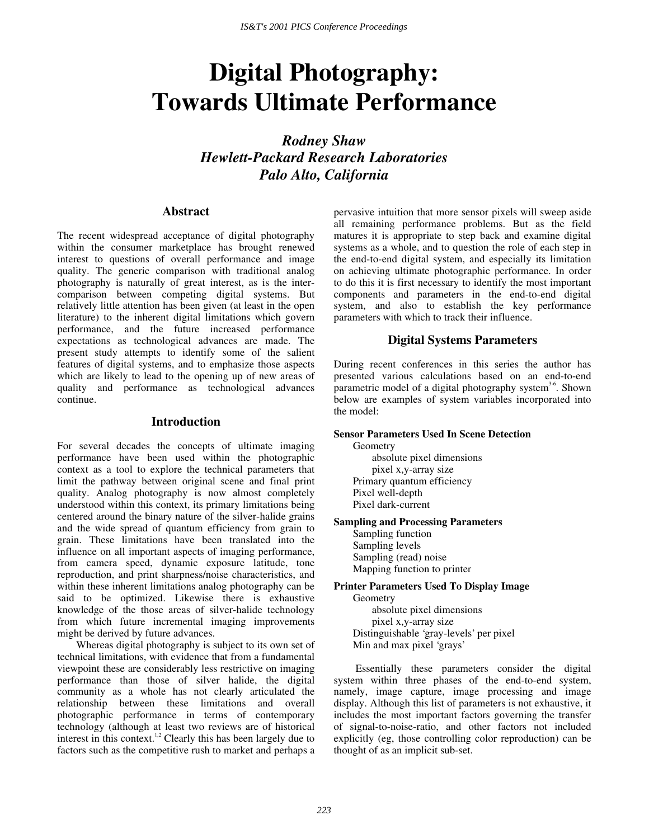# **Digital Photography: Towards Ultimate Performance**

*Rodney Shaw Hewlett-Packard Research Laboratories Palo Alto, California* 

# **Abstract**

The recent widespread acceptance of digital photography within the consumer marketplace has brought renewed interest to questions of overall performance and image quality. The generic comparison with traditional analog photography is naturally of great interest, as is the intercomparison between competing digital systems. But relatively little attention has been given (at least in the open literature) to the inherent digital limitations which govern performance, and the future increased performance expectations as technological advances are made. The present study attempts to identify some of the salient features of digital systems, and to emphasize those aspects which are likely to lead to the opening up of new areas of quality and performance as technological advances continue.

#### **Introduction**

For several decades the concepts of ultimate imaging performance have been used within the photographic context as a tool to explore the technical parameters that limit the pathway between original scene and final print quality. Analog photography is now almost completely understood within this context, its primary limitations being centered around the binary nature of the silver-halide grains and the wide spread of quantum efficiency from grain to grain. These limitations have been translated into the influence on all important aspects of imaging performance, from camera speed, dynamic exposure latitude, tone reproduction, and print sharpness/noise characteristics, and within these inherent limitations analog photography can be said to be optimized. Likewise there is exhaustive knowledge of the those areas of silver-halide technology from which future incremental imaging improvements might be derived by future advances.

Whereas digital photography is subject to its own set of technical limitations, with evidence that from a fundamental viewpoint these are considerably less restrictive on imaging performance than those of silver halide, the digital community as a whole has not clearly articulated the relationship between these limitations and overall photographic performance in terms of contemporary technology (although at least two reviews are of historical interest in this context.<sup>1,2</sup> Clearly this has been largely due to factors such as the competitive rush to market and perhaps a

pervasive intuition that more sensor pixels will sweep aside all remaining performance problems. But as the field matures it is appropriate to step back and examine digital systems as a whole, and to question the role of each step in the end-to-end digital system, and especially its limitation on achieving ultimate photographic performance. In order to do this it is first necessary to identify the most important components and parameters in the end-to-end digital system, and also to establish the key performance parameters with which to track their influence.

# **Digital Systems Parameters**

During recent conferences in this series the author has presented various calculations based on an end-to-end parametric model of a digital photography system<sup>3-6</sup>. Shown below are examples of system variables incorporated into the model:

## **Sensor Parameters Used In Scene Detection**

Geometry absolute pixel dimensions pixel x,y-array size Primary quantum efficiency Pixel well-depth Pixel dark-current

## **Sampling and Processing Parameters**

Sampling function Sampling levels Sampling (read) noise Mapping function to printer

**Printer Parameters Used To Display Image**  Geometry

absolute pixel dimensions pixel x,y-array size Distinguishable 'gray-levels' per pixel Min and max pixel 'grays'

 Essentially these parameters consider the digital system within three phases of the end-to-end system, namely, image capture, image processing and image display. Although this list of parameters is not exhaustive, it includes the most important factors governing the transfer of signal-to-noise-ratio, and other factors not included explicitly (eg, those controlling color reproduction) can be thought of as an implicit sub-set.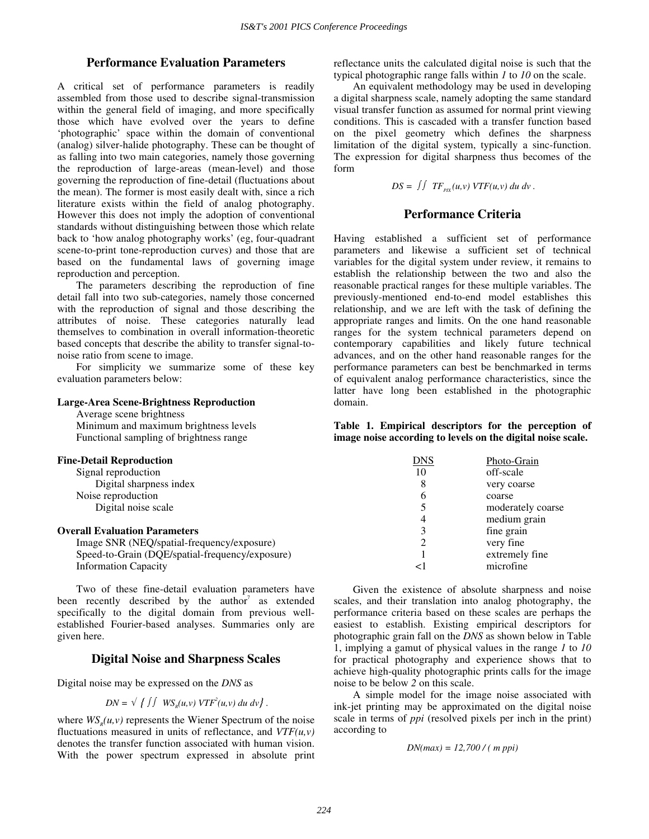## **Performance Evaluation Parameters**

A critical set of performance parameters is readily assembled from those used to describe signal-transmission within the general field of imaging, and more specifically those which have evolved over the years to define 'photographic' space within the domain of conventional (analog) silver-halide photography. These can be thought of as falling into two main categories, namely those governing the reproduction of large-areas (mean-level) and those governing the reproduction of fine-detail (fluctuations about the mean). The former is most easily dealt with, since a rich literature exists within the field of analog photography. However this does not imply the adoption of conventional standards without distinguishing between those which relate back to 'how analog photography works' (eg, four-quadrant scene-to-print tone-reproduction curves) and those that are based on the fundamental laws of governing image reproduction and perception.

The parameters describing the reproduction of fine detail fall into two sub-categories, namely those concerned with the reproduction of signal and those describing the attributes of noise. These categories naturally lead themselves to combination in overall information-theoretic based concepts that describe the ability to transfer signal-tonoise ratio from scene to image.

For simplicity we summarize some of these key evaluation parameters below:

#### **Large-Area Scene-Brightness Reproduction**

Average scene brightness

Minimum and maximum brightness levels Functional sampling of brightness range

## **Fine-Detail Reproduction**

Signal reproduction Digital sharpness index Noise reproduction Digital noise scale

## **Overall Evaluation Parameters**

Image SNR (NEQ/spatial-frequency/exposure) Speed-to-Grain (DQE/spatial-frequency/exposure) Information Capacity

Two of these fine-detail evaluation parameters have been recently described by the author<sup>7</sup> as extended specifically to the digital domain from previous wellestablished Fourier-based analyses. Summaries only are given here.

# **Digital Noise and Sharpness Scales**

Digital noise may be expressed on the *DNS* as

$$
DN = \sqrt{ \int \int W S_{R}(u, v) VTF^{2}(u, v) du dv }.
$$

where  $WS<sub>n</sub>(u, v)$  represents the Wiener Spectrum of the noise fluctuations measured in units of reflectance, and *VTF(u,v)* denotes the transfer function associated with human vision. With the power spectrum expressed in absolute print reflectance units the calculated digital noise is such that the typical photographic range falls within *1* to *10* on the scale.

An equivalent methodology may be used in developing a digital sharpness scale, namely adopting the same standard visual transfer function as assumed for normal print viewing conditions. This is cascaded with a transfer function based on the pixel geometry which defines the sharpness limitation of the digital system, typically a sinc-function. The expression for digital sharpness thus becomes of the form

$$
DS = \iint TF_{\text{PIX}}(u, v) VTF(u, v) \, du \, dv \, .
$$

## **Performance Criteria**

Having established a sufficient set of performance parameters and likewise a sufficient set of technical variables for the digital system under review, it remains to establish the relationship between the two and also the reasonable practical ranges for these multiple variables. The previously-mentioned end-to-end model establishes this relationship, and we are left with the task of defining the appropriate ranges and limits. On the one hand reasonable ranges for the system technical parameters depend on contemporary capabilities and likely future technical advances, and on the other hand reasonable ranges for the performance parameters can best be benchmarked in terms of equivalent analog performance characteristics, since the latter have long been established in the photographic domain.

**Table 1. Empirical descriptors for the perception of image noise according to levels on the digital noise scale.**

| ONS            | Photo-Grain       |
|----------------|-------------------|
| 10             | off-scale         |
| 8              | very coarse       |
| 6              | coarse            |
| 5              | moderately coarse |
| 4              | medium grain      |
| 3              | fine grain        |
| $\mathfrak{D}$ | very fine         |
|                | extremely fine    |
|                | microfine         |

Given the existence of absolute sharpness and noise scales, and their translation into analog photography, the performance criteria based on these scales are perhaps the easiest to establish. Existing empirical descriptors for photographic grain fall on the *DNS* as shown below in Table 1, implying a gamut of physical values in the range *1* to *10* for practical photography and experience shows that to achieve high-quality photographic prints calls for the image noise to be below *2* on this scale.

A simple model for the image noise associated with ink-jet printing may be approximated on the digital noise scale in terms of *ppi* (resolved pixels per inch in the print) according to

$$
DN(max) = 12,700 / (mppi)
$$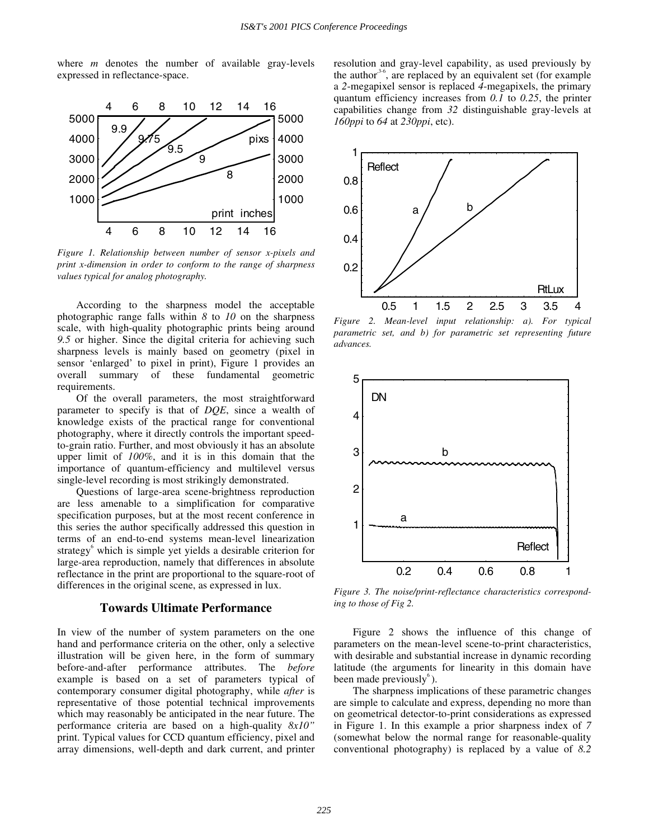where *m* denotes the number of available gray-levels expressed in reflectance-space.



*Figure 1. Relationship between number of sensor x-pixels and print x-dimension in order to conform to the range of sharpness values typical for analog photography.*

According to the sharpness model the acceptable photographic range falls within *8* to *10* on the sharpness scale, with high-quality photographic prints being around *9.5* or higher. Since the digital criteria for achieving such sharpness levels is mainly based on geometry (pixel in sensor 'enlarged' to pixel in print), Figure 1 provides an overall summary of these fundamental geometric requirements.

Of the overall parameters, the most straightforward parameter to specify is that of *DQE*, since a wealth of knowledge exists of the practical range for conventional photography, where it directly controls the important speedto-grain ratio. Further, and most obviously it has an absolute upper limit of *100%*, and it is in this domain that the importance of quantum-efficiency and multilevel versus single-level recording is most strikingly demonstrated.

Questions of large-area scene-brightness reproduction are less amenable to a simplification for comparative specification purposes, but at the most recent conference in this series the author specifically addressed this question in terms of an end-to-end systems mean-level linearization strategy<sup>6</sup> which is simple yet yields a desirable criterion for large-area reproduction, namely that differences in absolute reflectance in the print are proportional to the square-root of differences in the original scene, as expressed in lux.

#### **Towards Ultimate Performance**

In view of the number of system parameters on the one hand and performance criteria on the other, only a selective illustration will be given here, in the form of summary before-and-after performance attributes. The *before* example is based on a set of parameters typical of contemporary consumer digital photography, while *after* is representative of those potential technical improvements which may reasonably be anticipated in the near future. The performance criteria are based on a high-quality *8x10"* print. Typical values for CCD quantum efficiency, pixel and array dimensions, well-depth and dark current, and printer

resolution and gray-level capability, as used previously by the author<sup>3-6</sup>, are replaced by an equivalent set (for example a *2*-megapixel sensor is replaced *4*-megapixels, the primary quantum efficiency increases from *0.1* to *0.25*, the printer capabilities change from *32* distinguishable gray-levels at *160ppi* to *64* at *230ppi*, etc).



*Figure 2. Mean-level input relationship: a). For typical parametric set, and b) for parametric set representing future advances.* 



*Figure 3. The noise/print-reflectance characteristics corresponding to those of Fig 2.* 

Figure 2 shows the influence of this change of parameters on the mean-level scene-to-print characteristics, with desirable and substantial increase in dynamic recording latitude (the arguments for linearity in this domain have been made previously $\delta$ ).

The sharpness implications of these parametric changes are simple to calculate and express, depending no more than on geometrical detector-to-print considerations as expressed in Figure 1. In this example a prior sharpness index of *7*  (somewhat below the normal range for reasonable-quality conventional photography) is replaced by a value of *8.2*